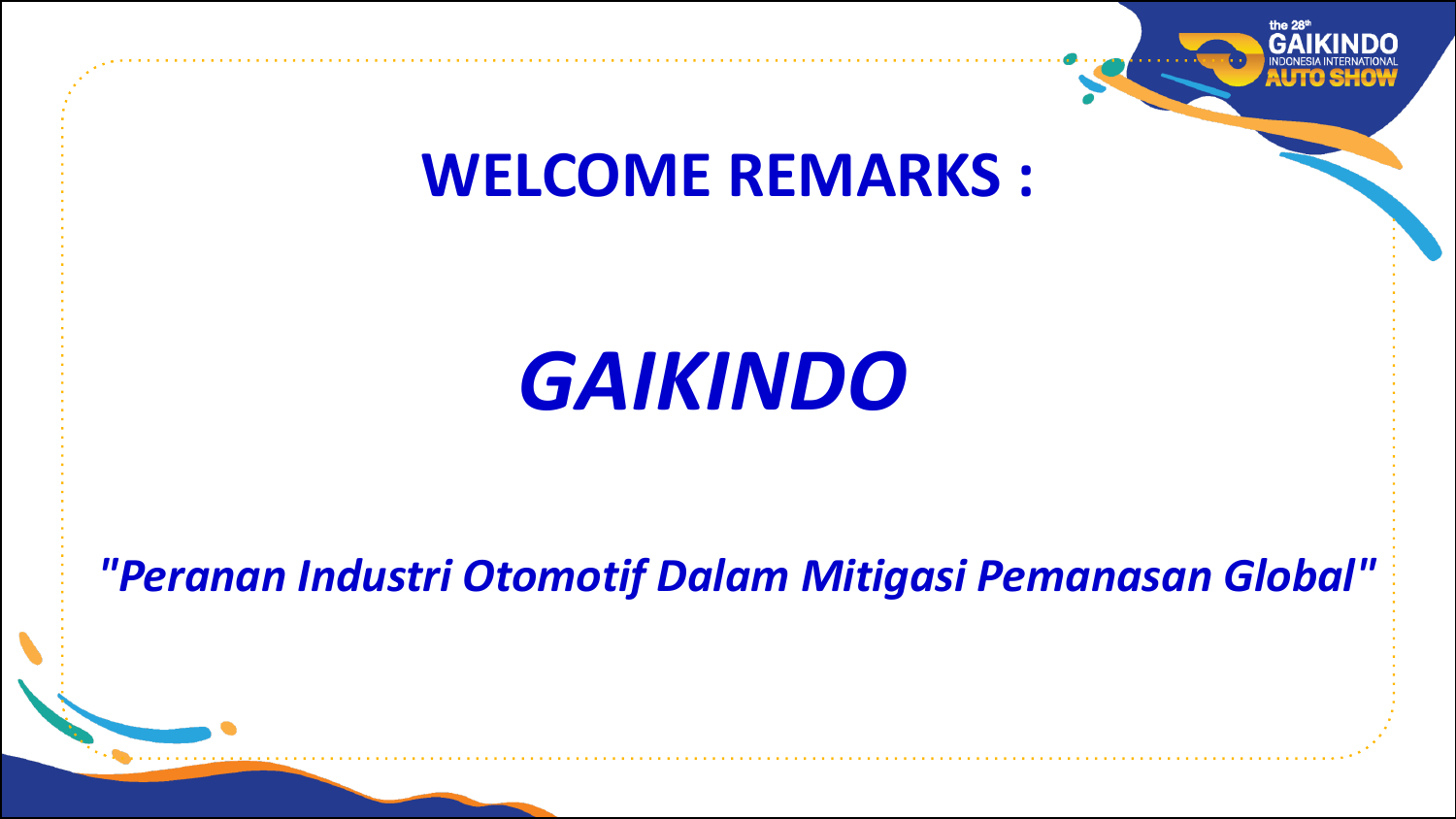

# **WELCOME REMARKS :**

# **GAIKINDO**

# *"Peranan Industri Otomotif Dalam Mitigasi Pemanasan Global"*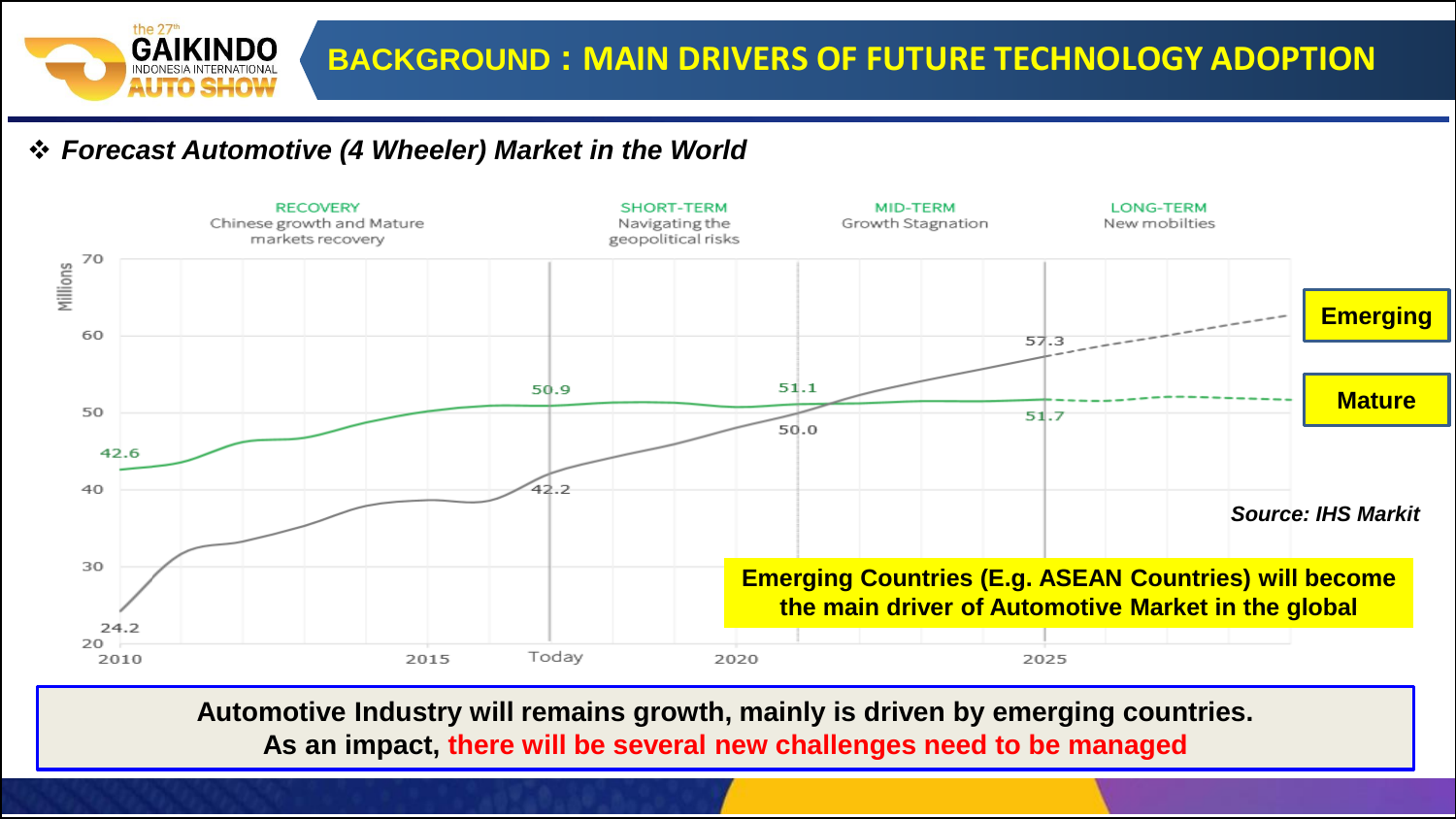

#### ❖ *Forecast Automotive (4 Wheeler) Market in the World*



**Automotive Industry will remains growth, mainly is driven by emerging countries. As an impact, there will be several new challenges need to be managed**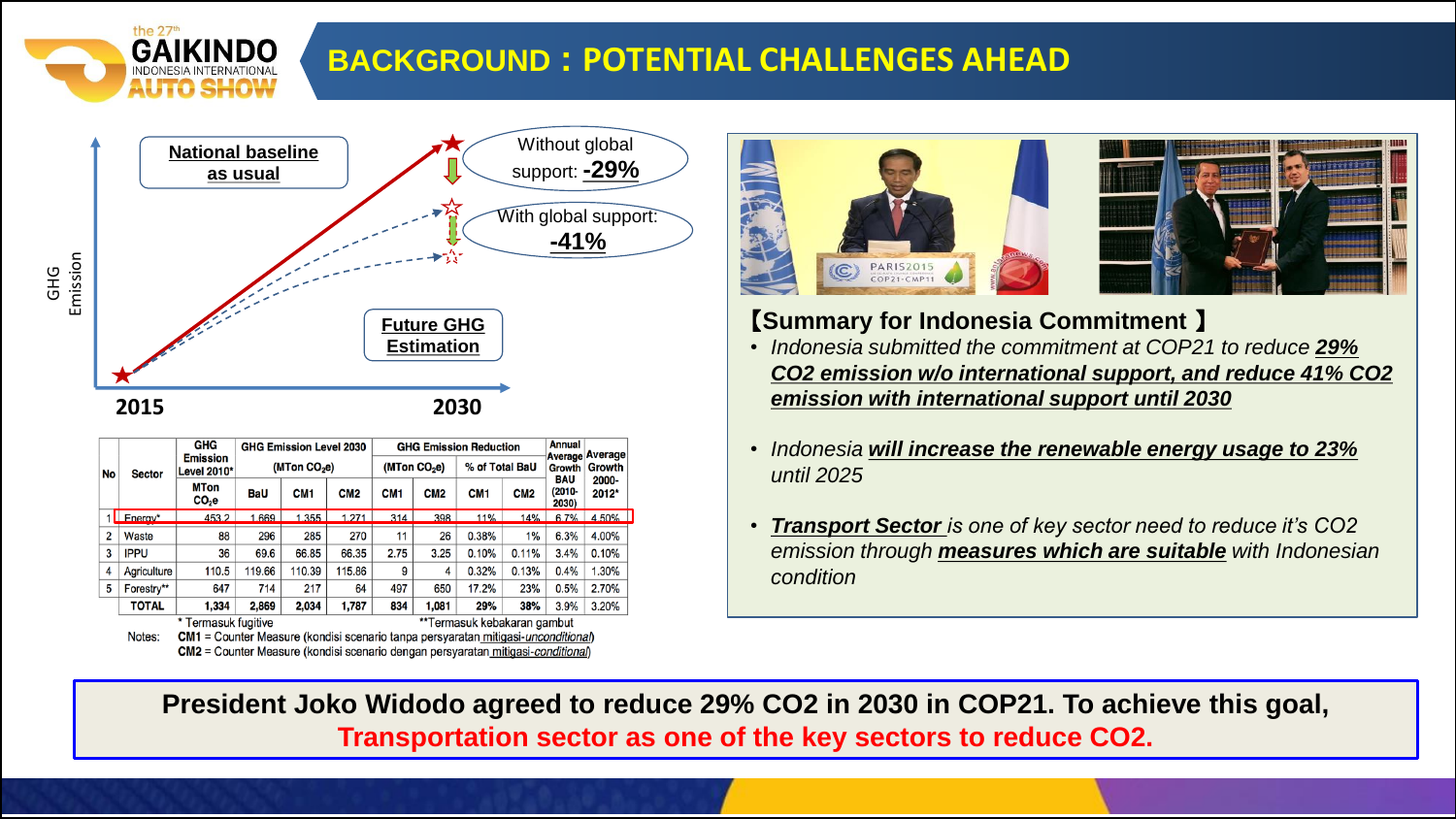

### **BACKGROUND : POTENTIAL CHALLENGES AHEAD**



| No             | <b>Sector</b>                                                                                 | GHG<br><b>Emission</b><br>Level 2010* | <b>GHG Emission Level 2030</b><br>(MTon CO <sub>2</sub> e) |                 |                 | <b>GHG Emission Reduction</b> |                             |                 |                 | Annual<br><b>Average Average</b>         |               |  |
|----------------|-----------------------------------------------------------------------------------------------|---------------------------------------|------------------------------------------------------------|-----------------|-----------------|-------------------------------|-----------------------------|-----------------|-----------------|------------------------------------------|---------------|--|
|                |                                                                                               |                                       |                                                            |                 |                 | (MTon CO <sub>2</sub> e)      |                             | % of Total BaU  |                 | Growth                                   | <b>Growth</b> |  |
|                |                                                                                               | <b>MTon</b><br>CO <sub>2</sub> e      | <b>BaU</b>                                                 | CM <sub>1</sub> | CM <sub>2</sub> | CM <sub>1</sub>               | CM <sub>2</sub>             | CM <sub>1</sub> | CM <sub>2</sub> | BAU<br>2000-<br>(2010-<br>2012*<br>2030) |               |  |
|                | Energy*                                                                                       | 453.2                                 | 1.669                                                      | 1.355           | 271             | 314                           | 398                         | 11%             | 14%             | 6.7%                                     | 4.50%         |  |
| $\overline{2}$ | Waste                                                                                         | 88                                    | 296                                                        | 285             | 270             | 11                            | 26                          | 0.38%           | 1%              | 6.3%                                     | 4.00%         |  |
| 3              | <b>IPPU</b>                                                                                   | 36                                    | 69.6                                                       | 66.85           | 66.35           | 2.75                          | 3.25                        | 0.10%           | 0.11%           | 3.4%                                     | 0.10%         |  |
| 4              | Agriculture                                                                                   | 110.5                                 | 119.66                                                     | 110.39          | 115.86          | 9                             | 4                           | 0.32%           | 0.13%           | 0.4%                                     | 1.30%         |  |
| 5              | Forestry**                                                                                    | 647                                   | 714                                                        | 217             | 64              | 497                           | 650                         | 17.2%           | 23%             | 0.5%                                     | 2.70%         |  |
|                | <b>TOTAL</b>                                                                                  | 1.334                                 | 2,869                                                      | 2,034           | 1,787           | 834                           | 1.081                       | 29%             | 38%             | 3.9%                                     | 3.20%         |  |
|                | Termasuk fugitive                                                                             |                                       |                                                            |                 |                 |                               | **Termasuk kebakaran gambut |                 |                 |                                          |               |  |
|                | $CM1 -$ Counter Measure (kandisi seonaria tanna persyaratan mitigasi ungenditianal)<br>Noton: |                                       |                                                            |                 |                 |                               |                             |                 |                 |                                          |               |  |

CM2 = Counter Measure (kondisi scenario dengan persyaratan mitigasi-condition





#### 【**Summary for Indonesia Commitment** 】

- *Indonesia submitted the commitment at COP21 to reduce 29% CO2 emission w/o international support, and reduce 41% CO2 emission with international support until 2030*
- *Indonesia will increase the renewable energy usage to 23% until 2025*
- *Transport Sector is one of key sector need to reduce it's CO2 emission through measures which are suitable with Indonesian condition*

**President Joko Widodo agreed to reduce 29% CO2 in 2030 in COP21. To achieve this goal, Transportation sector as one of the key sectors to reduce CO2.**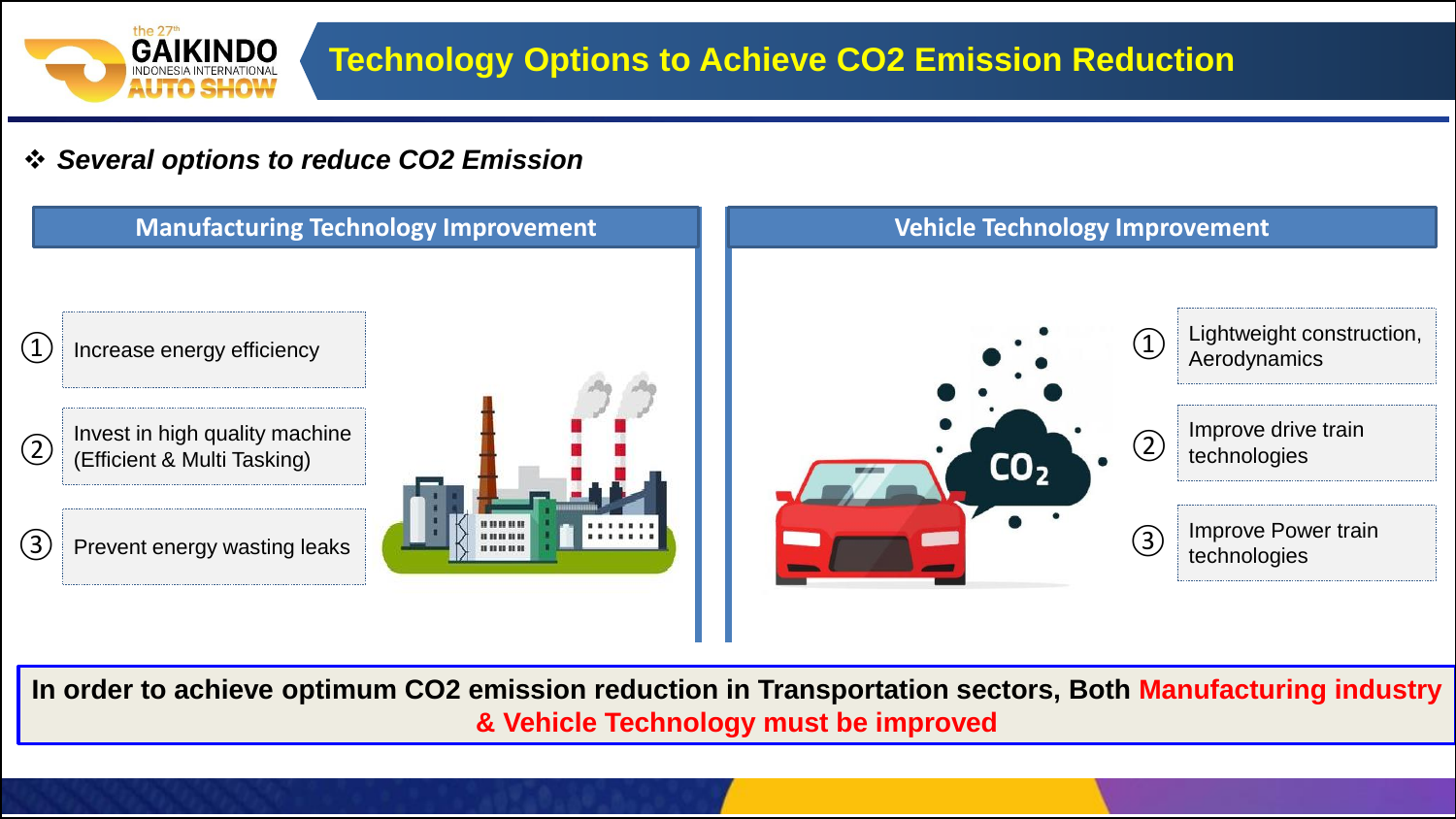

#### ❖ *Several options to reduce CO2 Emission*



**In order to achieve optimum CO2 emission reduction in Transportation sectors, Both Manufacturing industry & Vehicle Technology must be improved**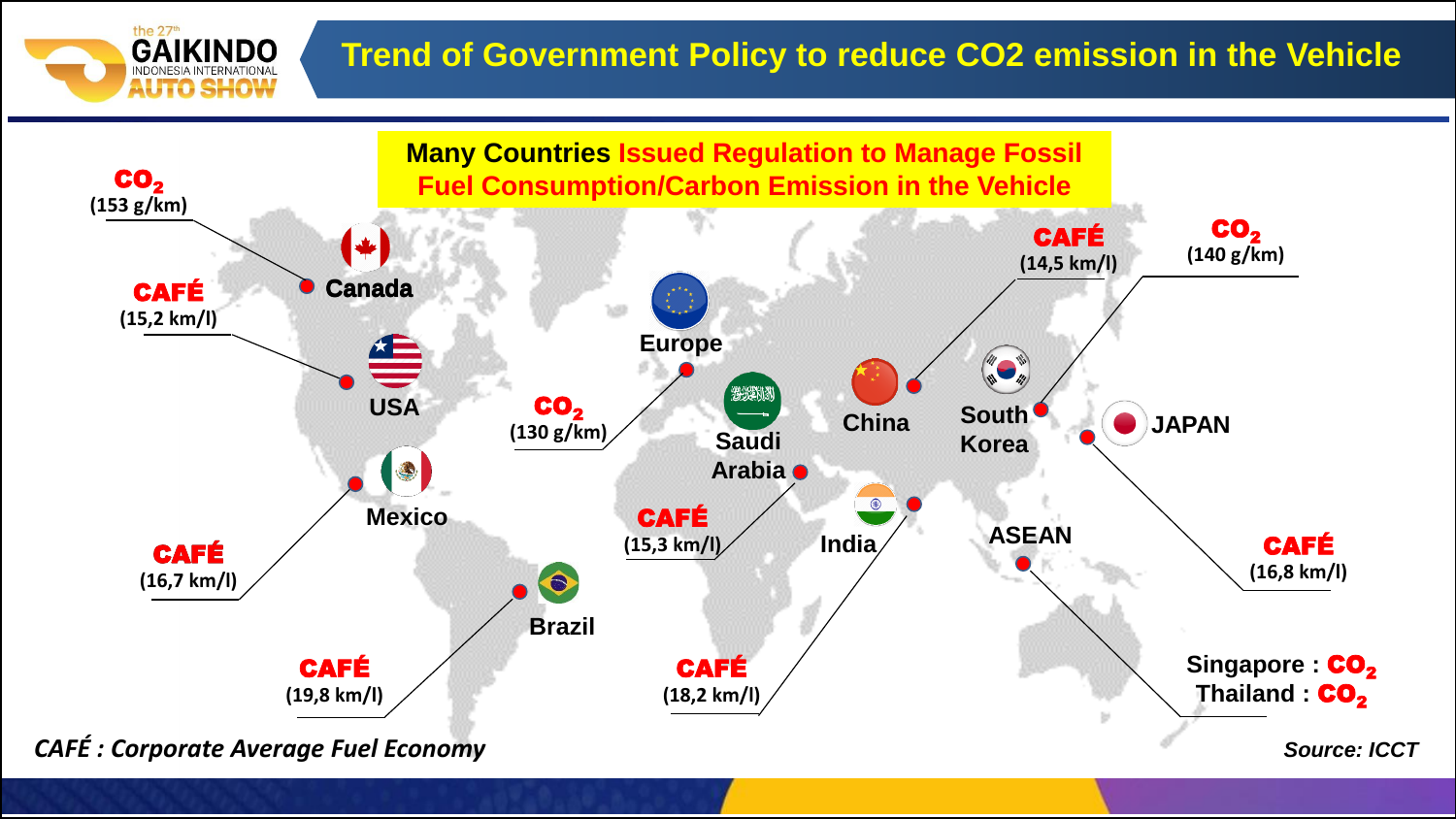## **Trend of Government Policy to reduce CO2 emission in the Vehicle**



the 27<sup>th</sup>

**GAIKINDO** INDONESIA INTERNATION.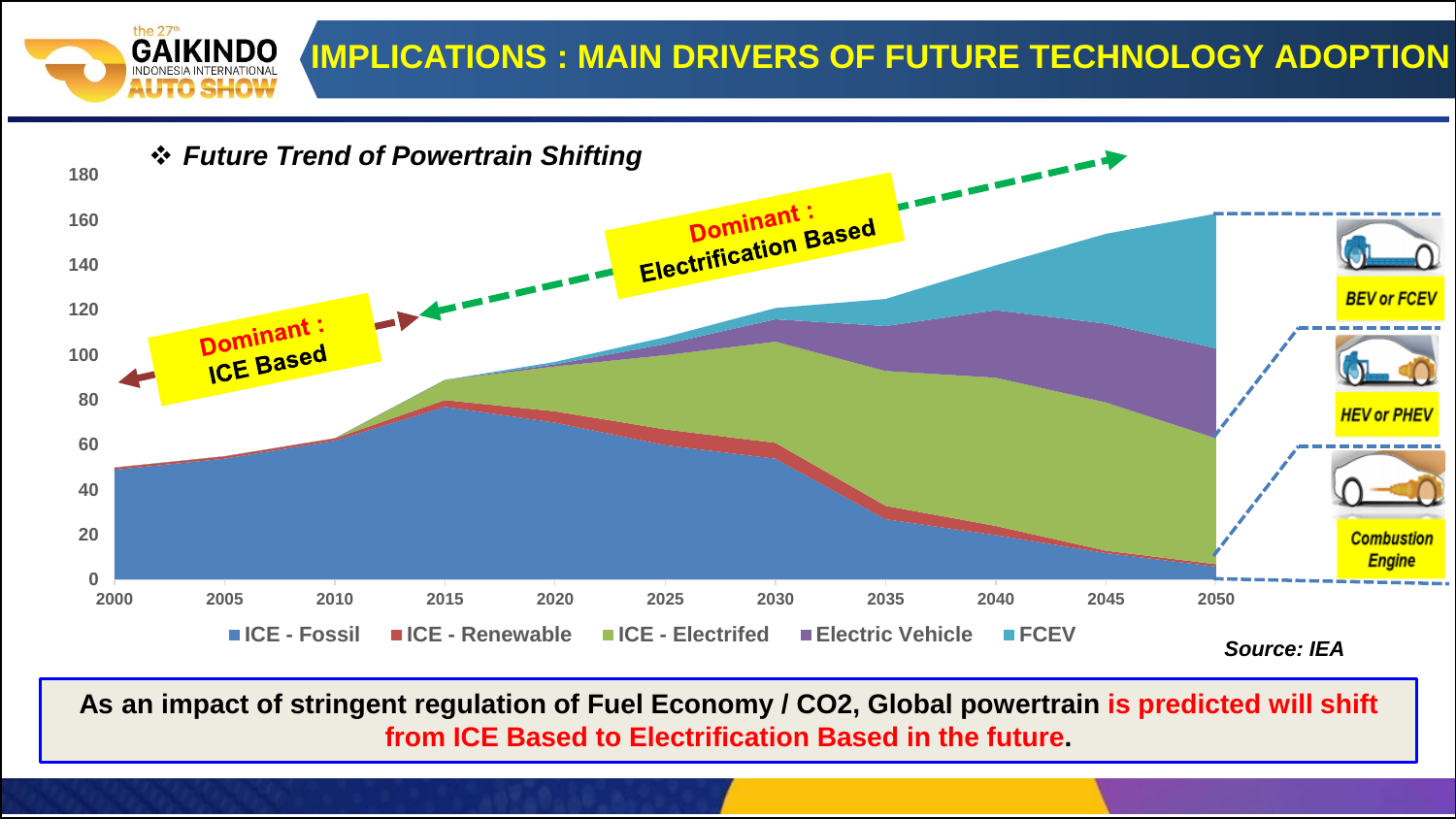



**As an impact of stringent regulation of Fuel Economy / CO2, Global powertrain is predicted will shift from ICE Based to Electrification Based in the future.**